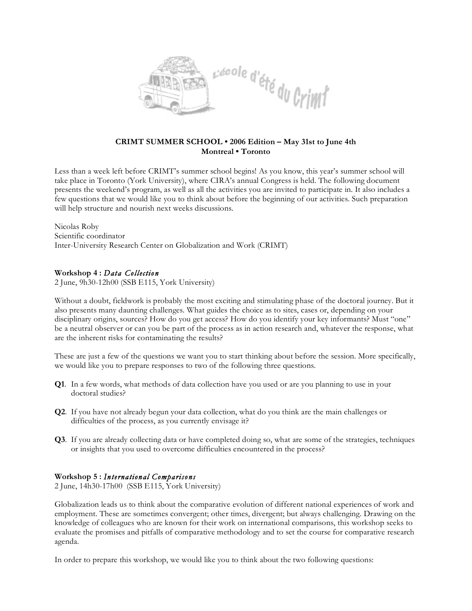

## **CRIMT SUMMER SCHOOL • 2006 Edition – May 31st to June 4th Montreal • Toronto**

Less than a week left before CRIMT's summer school begins! As you know, this year's summer school will take place in Toronto (York University), where CIRA's annual Congress is held. The following document presents the weekend's program, as well as all the activities you are invited to participate in. It also includes a few questions that we would like you to think about before the beginning of our activities. Such preparation will help structure and nourish next weeks discussions.

Nicolas Roby Scientific coordinator Inter-University Research Center on Globalization and Work (CRIMT)

## **Workshop 4 :** *Dat a Collectio n*

2 June, 9h30-12h00 (SSB E115, York University)

Without a doubt, fieldwork is probably the most exciting and stimulating phase of the doctoral journey. But it also presents many daunting challenges. What guides the choice as to sites, cases or, depending on your disciplinary origins, sources? How do you get access? How do you identify your key informants? Must "one" be a neutral observer or can you be part of the process as in action research and, whatever the response, what are the inherent risks for contaminating the results?

These are just a few of the questions we want you to start thinking about before the session. More specifically, we would like you to prepare responses to two of the following three questions.

- **Q1**. In a few words, what methods of data collection have you used or are you planning to use in your doctoral studies?
- **Q2**. If you have not already begun your data collection, what do you think are the main challenges or difficulties of the process, as you currently envisage it?
- **Q3**. If you are already collecting data or have completed doing so, what are some of the strategies, techniques or insights that you used to overcome difficulties encountered in the process?

#### **Workshop 5 :** *Interna tional Compa riso ns*

2 June, 14h30-17h00 (SSB E115, York University)

Globalization leads us to think about the comparative evolution of different national experiences of work and employment. These are sometimes convergent; other times, divergent; but always challenging. Drawing on the knowledge of colleagues who are known for their work on international comparisons, this workshop seeks to evaluate the promises and pitfalls of comparative methodology and to set the course for comparative research agenda.

In order to prepare this workshop, we would like you to think about the two following questions: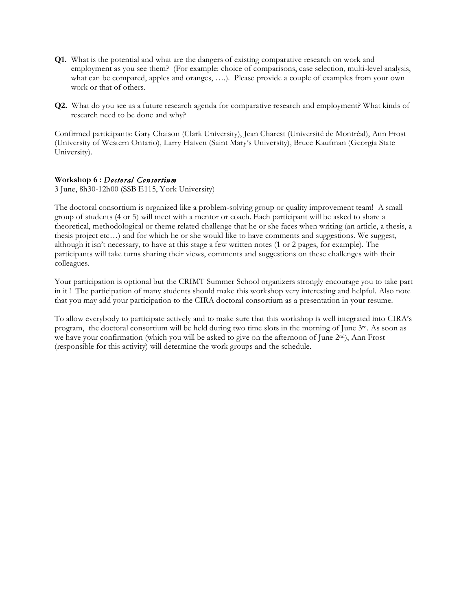- **Q1.** What is the potential and what are the dangers of existing comparative research on work and employment as you see them? (For example: choice of comparisons, case selection, multi-level analysis, what can be compared, apples and oranges, ….). Please provide a couple of examples from your own work or that of others.
- **Q2.** What do you see as a future research agenda for comparative research and employment? What kinds of research need to be done and why?

Confirmed participants: Gary Chaison (Clark University), Jean Charest (Université de Montréal), Ann Frost (University of Western Ontario), Larry Haiven (Saint Mary's University), Bruce Kaufman (Georgia State University).

### **Workshop 6 :** *Doctoral Consortium*

3 June, 8h30-12h00 (SSB E115, York University)

The doctoral consortium is organized like a problem-solving group or quality improvement team! A small group of students (4 or 5) will meet with a mentor or coach. Each participant will be asked to share a theoretical, methodological or theme related challenge that he or she faces when writing (an article, a thesis, a thesis project etc…) and for which he or she would like to have comments and suggestions. We suggest, although it isn't necessary, to have at this stage a few written notes (1 or 2 pages, for example). The participants will take turns sharing their views, comments and suggestions on these challenges with their colleagues.

Your participation is optional but the CRIMT Summer School organizers strongly encourage you to take part in it ! The participation of many students should make this workshop very interesting and helpful. Also note that you may add your participation to the CIRA doctoral consortium as a presentation in your resume.

To allow everybody to participate actively and to make sure that this workshop is well integrated into CIRA's program, the doctoral consortium will be held during two time slots in the morning of June 3rd. As soon as we have your confirmation (which you will be asked to give on the afternoon of June 2nd), Ann Frost (responsible for this activity) will determine the work groups and the schedule.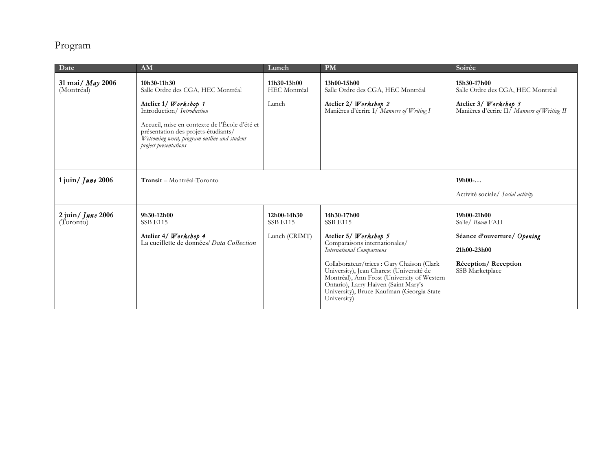# Program

| Date                                            | AM                                                                                                                                                           | Lunch                          | <b>PM</b>                                                                                                                                                                                                                                 | Soirée                                                                           |
|-------------------------------------------------|--------------------------------------------------------------------------------------------------------------------------------------------------------------|--------------------------------|-------------------------------------------------------------------------------------------------------------------------------------------------------------------------------------------------------------------------------------------|----------------------------------------------------------------------------------|
| 31 mai/ May 2006<br>(Montréal)                  | 10h30-11h30<br>Salle Ordre des CGA, HEC Montréal                                                                                                             | 11h30-13h00<br>HEC Montréal    | 13h00-15h00<br>Salle Ordre des CGA, HEC Montréal                                                                                                                                                                                          | 15h30-17h00<br>Salle Ordre des CGA, HEC Montréal                                 |
|                                                 | Atelier 1/ Workshop 1<br>Introduction/ Introduction                                                                                                          | Lunch                          | Atelier 2/ Workshop 2<br>Manières d'écrire I/ Manners of Writing I                                                                                                                                                                        | Atelier 3/ Workshop 3<br>Manières d'écrire II <sup>/</sup> Manners of Writing II |
|                                                 | Accueil, mise en contexte de l'École d'été et<br>présentation des projets-étudiants/<br>Welcoming word, program outline and student<br>project presentations |                                |                                                                                                                                                                                                                                           |                                                                                  |
| $1$ juin/ <i>June</i> 2006                      | Transit - Montréal-Toronto                                                                                                                                   | $19h00-.$                      |                                                                                                                                                                                                                                           |                                                                                  |
|                                                 |                                                                                                                                                              |                                |                                                                                                                                                                                                                                           | Activité sociale/ Social activity                                                |
| $2 \text{ jun} / \text{True}$ 2006<br>(Toronto) | 9h30-12h00<br><b>SSB E115</b>                                                                                                                                | 12h00-14h30<br><b>SSB E115</b> | 14h30-17h00<br><b>SSB E115</b>                                                                                                                                                                                                            | 19h00-21h00<br>Salle/ Room FAH                                                   |
|                                                 | Atelier 4/ Workshop 4<br>La cueillette de données/ Data Collection                                                                                           | Lunch (CRIMT)                  | Atelier 5/ Workshop 5                                                                                                                                                                                                                     | Séance d'ouverture/ Opening                                                      |
|                                                 |                                                                                                                                                              |                                | Comparaisons internationales/<br>International Comparisons                                                                                                                                                                                | 21h00-23h00                                                                      |
|                                                 |                                                                                                                                                              |                                | Collaborateur/trices : Gary Chaison (Clark<br>University), Jean Charest (Université de<br>Montréal), Ann Frost (University of Western<br>Ontario), Larry Haiven (Saint Mary's<br>University), Bruce Kaufman (Georgia State<br>University) | Réception/Reception<br>SSB Marketplace                                           |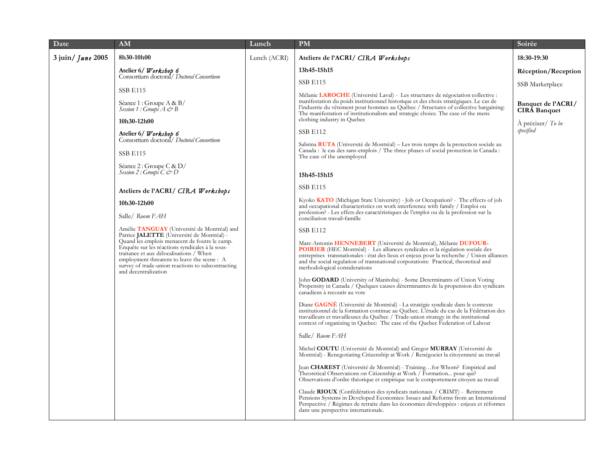| Date                                                                      | AM                                                                                                                                                                                                                                                                                                                                                                                                                                                                                                                                                                                                                                                                                                                                                                                                                                                                                                                                                                                                                                                                                                                                                                                                                                                                                                                     | Lunch        | <b>PM</b>                                                                                                                                                                                                                                                                                                                                                                                                                                                                                                                                                                  | Soirée                                    |
|---------------------------------------------------------------------------|------------------------------------------------------------------------------------------------------------------------------------------------------------------------------------------------------------------------------------------------------------------------------------------------------------------------------------------------------------------------------------------------------------------------------------------------------------------------------------------------------------------------------------------------------------------------------------------------------------------------------------------------------------------------------------------------------------------------------------------------------------------------------------------------------------------------------------------------------------------------------------------------------------------------------------------------------------------------------------------------------------------------------------------------------------------------------------------------------------------------------------------------------------------------------------------------------------------------------------------------------------------------------------------------------------------------|--------------|----------------------------------------------------------------------------------------------------------------------------------------------------------------------------------------------------------------------------------------------------------------------------------------------------------------------------------------------------------------------------------------------------------------------------------------------------------------------------------------------------------------------------------------------------------------------------|-------------------------------------------|
| $3$ juin/ <i>June</i> 2005                                                | 8h30-10h00                                                                                                                                                                                                                                                                                                                                                                                                                                                                                                                                                                                                                                                                                                                                                                                                                                                                                                                                                                                                                                                                                                                                                                                                                                                                                                             | Lunch (ACRI) | Ateliers de l'ACRI/ CIRA Workshops                                                                                                                                                                                                                                                                                                                                                                                                                                                                                                                                         | 18:30-19:30                               |
|                                                                           | Atelier 6/ <i>Workshop 6</i><br>Consortium doctoral/ Doctoral Consortium                                                                                                                                                                                                                                                                                                                                                                                                                                                                                                                                                                                                                                                                                                                                                                                                                                                                                                                                                                                                                                                                                                                                                                                                                                               |              | 13h45-15h15                                                                                                                                                                                                                                                                                                                                                                                                                                                                                                                                                                | Réception/Reception                       |
|                                                                           |                                                                                                                                                                                                                                                                                                                                                                                                                                                                                                                                                                                                                                                                                                                                                                                                                                                                                                                                                                                                                                                                                                                                                                                                                                                                                                                        |              | <b>SSB E115</b>                                                                                                                                                                                                                                                                                                                                                                                                                                                                                                                                                            | SSB Marketplace                           |
|                                                                           | <b>SSB E115</b><br>Séance 1 : Groupe A & B/<br><i>Session 1</i> : Groups $A \circ B$                                                                                                                                                                                                                                                                                                                                                                                                                                                                                                                                                                                                                                                                                                                                                                                                                                                                                                                                                                                                                                                                                                                                                                                                                                   |              | Mélanie LAROCHE (Université Laval) - Les structures de négociation collective :<br>manifestation du poids institutionnel historique et des choix stratégiques. Le cas de<br>l'industrie du vêtement pour hommes au Québec / Structures of collective bargaining:<br>The manifestation of institutionalism and strategic choice. The case of the mens<br>clothing industry in Quebec                                                                                                                                                                                        | Banquet de l'ACRI/<br><b>CIRA</b> Banquet |
|                                                                           | 10h30-12h00<br>Atelier 6/ <i>Workshop 6</i><br>Consortium doctoral/ Doctoral Consortium<br><b>SSB E115</b><br>Séance 2 : Groupe C & $D/$<br>Session 2: Groups $C \circ D$<br>Ateliers de l'ACRI/ CIRA Workshops                                                                                                                                                                                                                                                                                                                                                                                                                                                                                                                                                                                                                                                                                                                                                                                                                                                                                                                                                                                                                                                                                                        |              | <b>SSB E112</b><br>Sabrina RUTA (Université de Montréal) - Les trois temps de la protection sociale au<br>Canada: le cas des sans-emplois / The three phases of social protection in Canada:<br>The case of the unemployed<br>15h45-15h15<br><b>SSB E115</b><br>Kyoko <b>KATO</b> (Michigan State University) - Job or Occupation? - The effects of job                                                                                                                                                                                                                    | À préciser/ To be<br>specified            |
|                                                                           | 10h30-12h00<br>Salle/ Room FAH<br>Amélie <b>TANGUAY</b> (Université de Montréal) and<br>Patrice JALETTE (Université de Montréal) -<br>Quand les emplois menacent de foutre le camp.<br>Enquête sur les réactions syndicales à la sous-<br>traitance et aux délocalisations / When<br>employment threatens to leave the scene: A                                                                                                                                                                                                                                                                                                                                                                                                                                                                                                                                                                                                                                                                                                                                                                                                                                                                                                                                                                                        |              | and occupational characteristics on work interference with family / Emploi ou<br>profession? - Les effets des caractéristiques de l'emploi ou de la profession sur la<br>conciliation travail-famille<br><b>SSB E112</b><br>Marc-Antonin HENNEBERT (Université de Montréal), Mélanie DUFOUR-<br><b>POIRIER</b> (HEC Montréal) - Les alliances syndicales et la régulation sociale des<br>entreprises transnationales : état des lieux et enjeux pour la recherche / Union alliances<br>and the social regulation of transnational corporations: Practical, theoretical and |                                           |
| survey of trade-union reactions to subcontracting<br>and decentralization | methodological considerations<br>John GODARD (University of Manitoba) - Some Determinants of Union Voting<br>Propensity in Canada / Quelques causes déterminantes de la propension des syndicats<br>canadiens à recourir au vote<br>Diane GAGNE (Université de Montréal) - La stratégie syndicale dans le contexte<br>institutionnel de la formation continue au Québec. L'étude du cas de la Fédération des<br>travailleurs et travailleurses du Québec / Trade-union strategy in the institutional<br>context of organizing in Quebec: The case of the Quebec Federation of Labour<br>Salle/ Room FAH<br>Michel COUTU (Université de Montréal) and Gregor MURRAY (Université de<br>Montréal) - Renegotiating Citizenship at Work / Renégocier la citoyenneté au travail<br>Jean CHAREST (Université de Montréal) - Trainingfor Whom? Empirical and<br>Theoretical Observations on Citizenship at Work / Formation pour qui?<br>Observations d'ordre théorique et empirique sur le comportement citoyen au travail<br>Claude RIOUX (Confédération des syndicats nationaux / CRIMT) - Retirement<br>Pensions Systems in Developed Economies: Issues and Reforms from an International<br>Perspective / Régimes de retraite dans les économies développées : enjeux et réformes<br>dans une perspective internationale. |              |                                                                                                                                                                                                                                                                                                                                                                                                                                                                                                                                                                            |                                           |